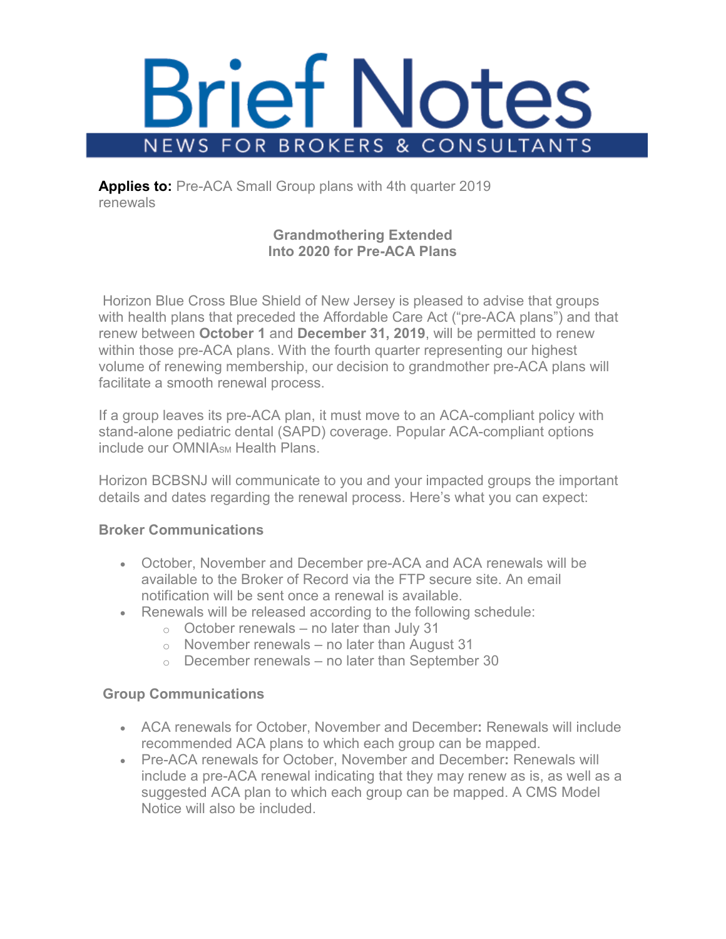

**Applies to:** Pre-ACA Small Group plans with 4th quarter 2019 renewals

# **Grandmothering Extended Into 2020 for Pre-ACA Plans**

Horizon Blue Cross Blue Shield of New Jersey is pleased to advise that groups with health plans that preceded the Affordable Care Act ("pre-ACA plans") and that renew between **October 1** and **December 31, 2019**, will be permitted to renew within those pre-ACA plans. With the fourth quarter representing our highest volume of renewing membership, our decision to grandmother pre-ACA plans will facilitate a smooth renewal process.

If a group leaves its pre-ACA plan, it must move to an ACA-compliant policy with stand-alone pediatric dental (SAPD) coverage. Popular ACA-compliant options include our OMNIA<sub>SM</sub> Health Plans

Horizon BCBSNJ will communicate to you and your impacted groups the important details and dates regarding the renewal process. Here's what you can expect:

## **Broker Communications**

- October, November and December pre-ACA and ACA renewals will be available to the Broker of Record via the FTP secure site. An email notification will be sent once a renewal is available.
- Renewals will be released according to the following schedule:
	- $\circ$  October renewals no later than July 31
	- $\circ$  November renewals no later than August 31
	- $\circ$  December renewals no later than September 30

## **Group Communications**

- ACA renewals for October, November and December**:** Renewals will include recommended ACA plans to which each group can be mapped.
- Pre-ACA renewals for October, November and December**:** Renewals will include a pre-ACA renewal indicating that they may renew as is, as well as a suggested ACA plan to which each group can be mapped. A CMS Model Notice will also be included.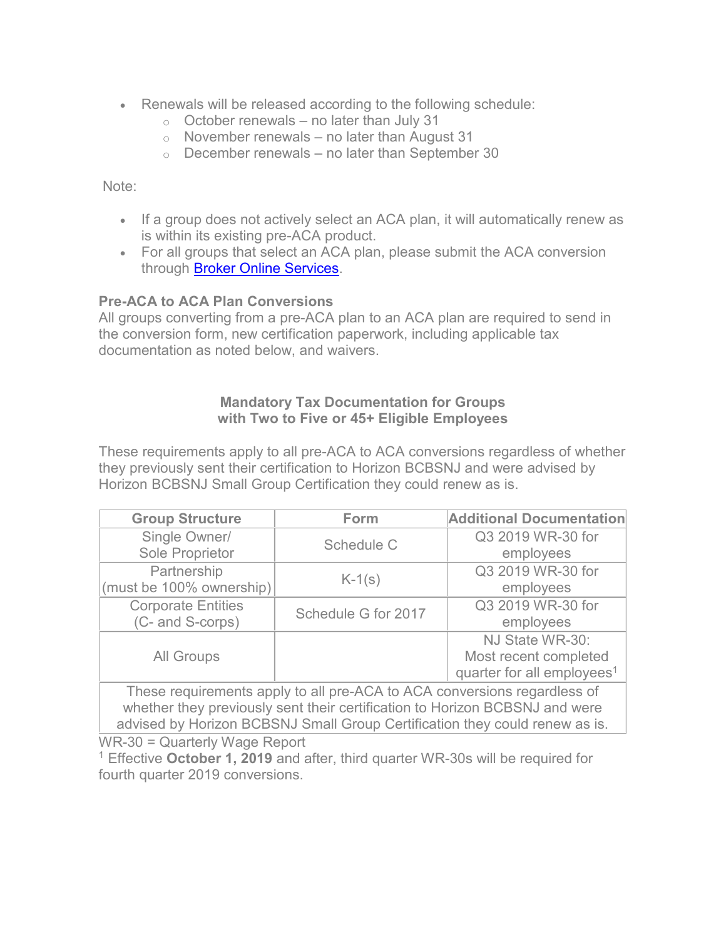- Renewals will be released according to the following schedule:
	- $\circ$  October renewals no later than July 31
	- $\circ$  November renewals no later than August 31
	- $\circ$  December renewals no later than September 30

Note:

- If a group does not actively select an ACA plan, it will automatically renew as is within its existing pre-ACA product.
- For all groups that select an ACA plan, please submit the ACA conversion through **Broker Online Services**.

## **Pre-ACA to ACA Plan Conversions**

All groups converting from a pre-ACA plan to an ACA plan are required to send in the conversion form, new certification paperwork, including applicable tax documentation as noted below, and waivers.

### **Mandatory Tax Documentation for Groups with Two to Five or 45+ Eligible Employees**

These requirements apply to all pre-ACA to ACA conversions regardless of whether they previously sent their certification to Horizon BCBSNJ and were advised by Horizon BCBSNJ Small Group Certification they could renew as is.

| <b>Group Structure</b>    | <b>Form</b>         | <b>Additional Documentation</b>        |
|---------------------------|---------------------|----------------------------------------|
| Single Owner/             | Schedule C          | Q3 2019 WR-30 for                      |
| Sole Proprietor           |                     | employees                              |
| Partnership               | $K-1(s)$            | Q3 2019 WR-30 for                      |
| (must be 100% ownership)  |                     | employees                              |
| <b>Corporate Entities</b> | Schedule G for 2017 | Q3 2019 WR-30 for                      |
| (C- and S-corps)          |                     | employees                              |
|                           |                     | NJ State WR-30:                        |
| <b>All Groups</b>         |                     | Most recent completed                  |
|                           |                     | quarter for all employees <sup>1</sup> |

These requirements apply to all pre-ACA to ACA conversions regardless of whether they previously sent their certification to Horizon BCBSNJ and were advised by Horizon BCBSNJ Small Group Certification they could renew as is.

WR-30 = Quarterly Wage Report

<sup>1</sup> Effective **October 1, 2019** and after, third quarter WR-30s will be required for fourth quarter 2019 conversions.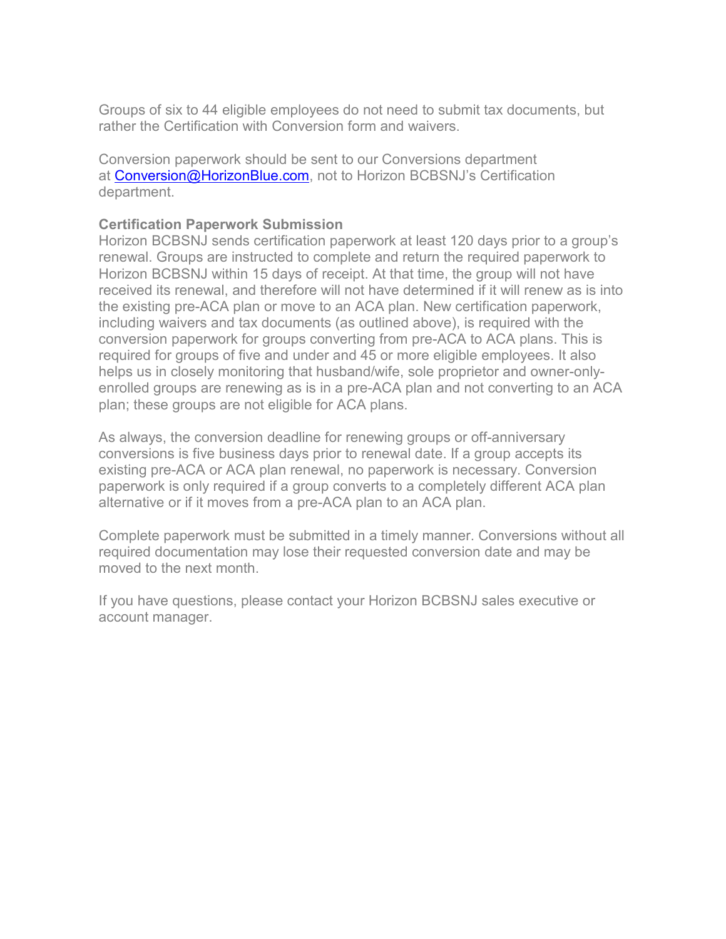Groups of six to 44 eligible employees do not need to submit tax documents, but rather the Certification with Conversion form and waivers.

Conversion paperwork should be sent to our Conversions department at [Conversion@HorizonBlue.com,](mailto:Conversion@HorizonBlue.com) not to Horizon BCBSNJ's Certification department.

### **Certification Paperwork Submission**

Horizon BCBSNJ sends certification paperwork at least 120 days prior to a group's renewal. Groups are instructed to complete and return the required paperwork to Horizon BCBSNJ within 15 days of receipt. At that time, the group will not have received its renewal, and therefore will not have determined if it will renew as is into the existing pre-ACA plan or move to an ACA plan. New certification paperwork, including waivers and tax documents (as outlined above), is required with the conversion paperwork for groups converting from pre-ACA to ACA plans. This is required for groups of five and under and 45 or more eligible employees. It also helps us in closely monitoring that husband/wife, sole proprietor and owner-onlyenrolled groups are renewing as is in a pre-ACA plan and not converting to an ACA plan; these groups are not eligible for ACA plans.

As always, the conversion deadline for renewing groups or off-anniversary conversions is five business days prior to renewal date. If a group accepts its existing pre-ACA or ACA plan renewal, no paperwork is necessary. Conversion paperwork is only required if a group converts to a completely different ACA plan alternative or if it moves from a pre-ACA plan to an ACA plan.

Complete paperwork must be submitted in a timely manner. Conversions without all required documentation may lose their requested conversion date and may be moved to the next month.

If you have questions, please contact your Horizon BCBSNJ sales executive or account manager.